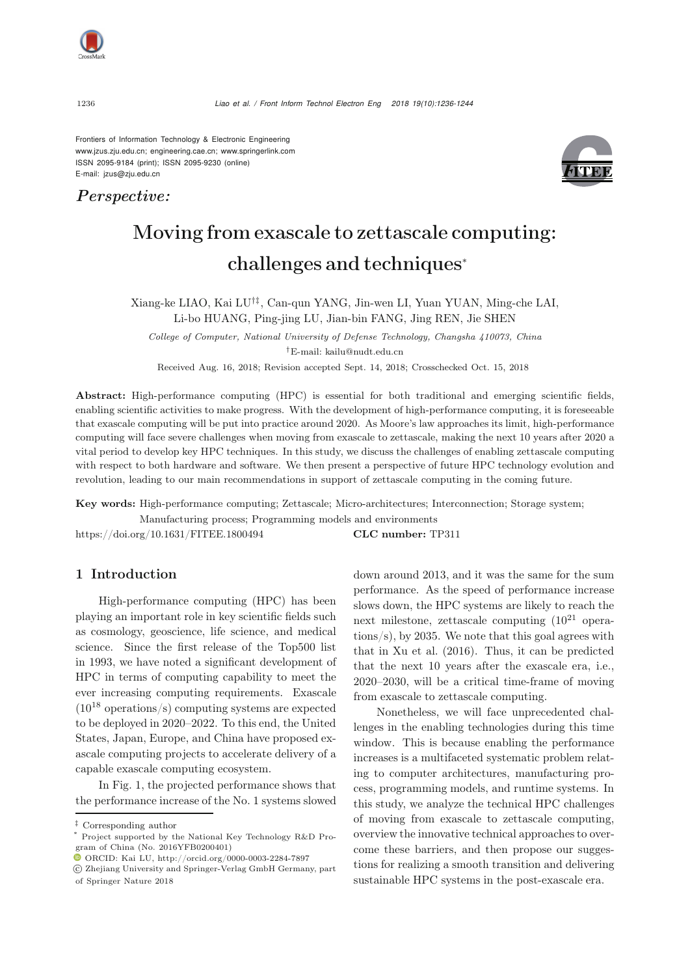

Frontiers of Information Technology & Electronic Engineering [www.jzus.zju.edu.cn;](www.jzus.zju.edu.cn) [engineering.cae.cn;](engineering.cae.cn)<www.springerlink.com> ISSN 2095-9184 (print); ISSN 2095-9230 (online) E-mail: jzus@zju.edu.cn

*Perspective:*



# Moving from exascale to zettascale computing: challenges and techniques<sup>∗</sup>

Xiang-ke LIAO, Kai LU*†‡*, Can-qun YANG, Jin-wen LI, Yuan YUAN, Ming-che LAI, Li-bo HUANG, Ping-jing LU, Jian-bin FANG, Jing REN, Jie SHEN

*College of Computer, National University of Defense Technology, Changsha 410073, China †*E-mail: kailu@nudt.edu.cn

Received Aug. 16, 2018; Revision accepted Sept. 14, 2018; Crosschecked Oct. 15, 2018

Abstract: High-performance computing (HPC) is essential for both traditional and emerging scientific fields, enabling scientific activities to make progress. With the development of high-performance computing, it is foreseeable that exascale computing will be put into practice around 2020. As Moore's law approaches its limit, high-performance computing will face severe challenges when moving from exascale to zettascale, making the next 10 years after 2020 a vital period to develop key HPC techniques. In this study, we discuss the challenges of enabling zettascale computing with respect to both hardware and software. We then present a perspective of future HPC technology evolution and revolution, leading to our main recommendations in support of zettascale computing in the coming future.

Key words: High-performance computing; Zettascale; Micro-architectures; Interconnection; Storage system;

Manufacturing process; Programming models and environments

https://doi.org/10.1631/FITEE.1800494 CLC number: TP311

1 Introduction

High-performance computing (HPC) has been playing an important role in key scientific fields such as cosmology, geoscience, life science, and medical science. Since the first release of the Top500 list in 1993, we have noted a significant development of HPC in terms of computing capability to meet the ever increasing computing requirements. Exascale  $(10^{18}$  operations/s) computing systems are expected to be deployed in 2020–2022. To this end, the United States, Japan, Europe, and China have proposed exascale computing projects to accelerate delivery of a capable exascale computing ecosystem.

In Fig. [1,](#page-1-0) the projected performance shows that the performance increase of the No. 1 systems slowed down around 2013, and it was the same for the sum performance. As the speed of performance increase slows down, the HPC systems are likely to reach the next milestone, zettascale computing  $(10^{21}$  operations/s), by 2035. We note that this goal agrees with that in [Xu et al.](#page-8-0) [\(2016\)](#page-8-0). Thus, it can be predicted that the next 10 years after the exascale era, i.e., 2020–2030, will be a critical time-frame of moving from exascale to zettascale computing.

Nonetheless, we will face unprecedented challenges in the enabling technologies during this time window. This is because enabling the performance increases is a multifaceted systematic problem relating to computer architectures, manufacturing process, programming models, and runtime systems. In this study, we analyze the technical HPC challenges of moving from exascale to zettascale computing, overview the innovative technical approaches to overcome these barriers, and then propose our suggestions for realizing a smooth transition and delivering sustainable HPC systems in the post-exascale era.

*<sup>‡</sup>* Corresponding author

<sup>\*</sup> Project supported by the National Key Technology R&D Program of China (No. 2016YFB0200401)

ORCID: Kai LU, http://orcid.org/0000-0003-2284-7897

c Zhejiang University and Springer-Verlag GmbH Germany, part of Springer Nature 2018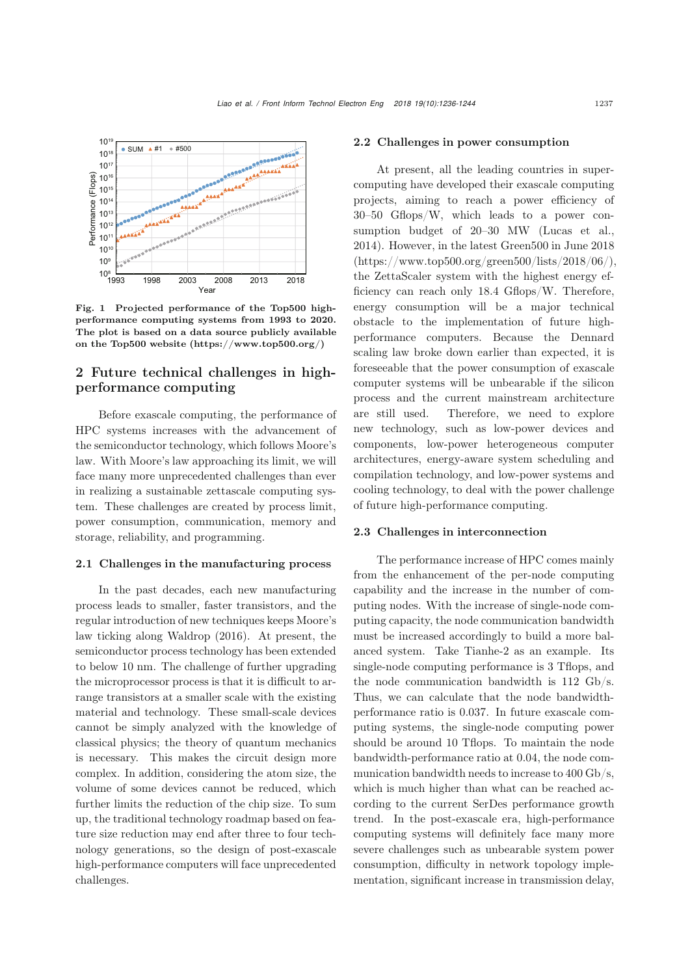

<span id="page-1-0"></span>Fig. 1 Projected performance of the Top500 highperformance computing systems from 1993 to 2020. The plot is based on a data source publicly available on the Top500 website (https://www.top500.org/)

# 2 Future technical challenges in highperformance computing

Before exascale computing, the performance of HPC systems increases with the advancement of the semiconductor technology, which follows Moore's law. With Moore's law approaching its limit, we will face many more unprecedented challenges than ever in realizing a sustainable zettascale computing system. These challenges are created by process limit, power consumption, communication, memory and storage, reliability, and programming.

## 2.1 Challenges in the manufacturing process

In the past decades, each new manufacturing process leads to smaller, faster transistors, and the regular introduction of new techniques keeps Moore's law ticking along [Waldrop](#page-7-0) [\(2016](#page-7-0)). At present, the semiconductor process technology has been extended to below 10 nm. The challenge of further upgrading the microprocessor process is that it is difficult to arrange transistors at a smaller scale with the existing material and technology. These small-scale devices cannot be simply analyzed with the knowledge of classical physics; the theory of quantum mechanics is necessary. This makes the circuit design more complex. In addition, considering the atom size, the volume of some devices cannot be reduced, which further limits the reduction of the chip size. To sum up, the traditional technology roadmap based on feature size reduction may end after three to four technology generations, so the design of post-exascale high-performance computers will face unprecedented challenges.

## 2.2 Challenges in power consumption

At present, all the leading countries in supercomputing have developed their exascale computing projects, aiming to reach a power efficiency of 30–50 Gflops/W, which leads to a power consumption budget of 20–30 MW [\(Lucas et al.](#page-7-1), [2014](#page-7-1)). However, in the latest Green500 in June 2018  $(\text{https://www.top500.org/green500/lists}/2018/06).$ the ZettaScaler system with the highest energy efficiency can reach only 18.4 Gflops/W. Therefore, energy consumption will be a major technical obstacle to the implementation of future highperformance computers. Because the Dennard scaling law broke down earlier than expected, it is foreseeable that the power consumption of exascale computer systems will be unbearable if the silicon process and the current mainstream architecture are still used. Therefore, we need to explore new technology, such as low-power devices and components, low-power heterogeneous computer architectures, energy-aware system scheduling and compilation technology, and low-power systems and cooling technology, to deal with the power challenge of future high-performance computing.

## 2.3 Challenges in interconnection

The performance increase of HPC comes mainly from the enhancement of the per-node computing capability and the increase in the number of computing nodes. With the increase of single-node computing capacity, the node communication bandwidth must be increased accordingly to build a more balanced system. Take Tianhe-2 as an example. Its single-node computing performance is 3 Tflops, and the node communication bandwidth is 112 Gb/s. Thus, we can calculate that the node bandwidthperformance ratio is 0.037. In future exascale computing systems, the single-node computing power should be around 10 Tflops. To maintain the node bandwidth-performance ratio at 0.04, the node communication bandwidth needs to increase to 400 Gb/s, which is much higher than what can be reached according to the current SerDes performance growth trend. In the post-exascale era, high-performance computing systems will definitely face many more severe challenges such as unbearable system power consumption, difficulty in network topology implementation, significant increase in transmission delay,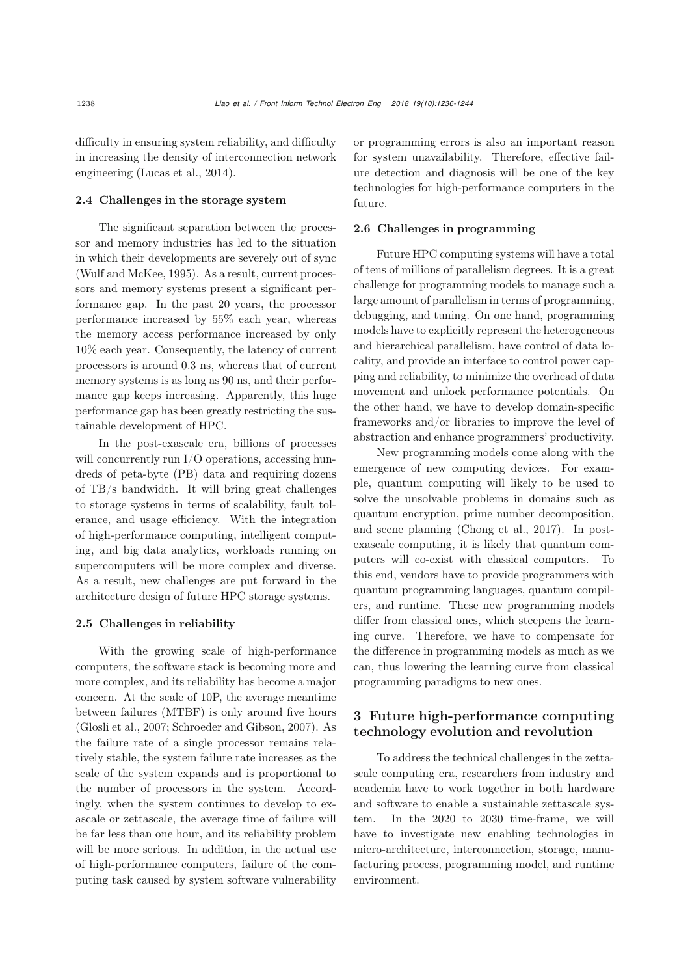difficulty in ensuring system reliability, and difficulty in increasing the density of interconnection network engineering [\(Lucas et al.](#page-7-1), [2014](#page-7-1)).

## 2.4 Challenges in the storage system

The significant separation between the processor and memory industries has led to the situation in which their developments are severely out of sync [\(Wulf and McKee](#page-8-1), [1995](#page-8-1)). As a result, current processors and memory systems present a significant performance gap. In the past 20 years, the processor performance increased by 55% each year, whereas the memory access performance increased by only 10% each year. Consequently, the latency of current processors is around 0.3 ns, whereas that of current memory systems is as long as 90 ns, and their performance gap keeps increasing. Apparently, this huge performance gap has been greatly restricting the sustainable development of HPC.

In the post-exascale era, billions of processes will concurrently run I/O operations, accessing hundreds of peta-byte (PB) data and requiring dozens of TB/s bandwidth. It will bring great challenges to storage systems in terms of scalability, fault tolerance, and usage efficiency. With the integration of high-performance computing, intelligent computing, and big data analytics, workloads running on supercomputers will be more complex and diverse. As a result, new challenges are put forward in the architecture design of future HPC storage systems.

## 2.5 Challenges in reliability

With the growing scale of high-performance computers, the software stack is becoming more and more complex, and its reliability has become a major concern. At the scale of 10P, the average meantime between failures (MTBF) is only around five hours [\(Glosli et al.](#page-7-2), [2007;](#page-7-2) [Schroeder and Gibson](#page-7-3), [2007](#page-7-3)). As the failure rate of a single processor remains relatively stable, the system failure rate increases as the scale of the system expands and is proportional to the number of processors in the system. Accordingly, when the system continues to develop to exascale or zettascale, the average time of failure will be far less than one hour, and its reliability problem will be more serious. In addition, in the actual use of high-performance computers, failure of the computing task caused by system software vulnerability

or programming errors is also an important reason for system unavailability. Therefore, effective failure detection and diagnosis will be one of the key technologies for high-performance computers in the future.

## 2.6 Challenges in programming

Future HPC computing systems will have a total of tens of millions of parallelism degrees. It is a great challenge for programming models to manage such a large amount of parallelism in terms of programming, debugging, and tuning. On one hand, programming models have to explicitly represent the heterogeneous and hierarchical parallelism, have control of data locality, and provide an interface to control power capping and reliability, to minimize the overhead of data movement and unlock performance potentials. On the other hand, we have to develop domain-specific frameworks and/or libraries to improve the level of abstraction and enhance programmers' productivity.

New programming models come along with the emergence of new computing devices. For example, quantum computing will likely to be used to solve the unsolvable problems in domains such as quantum encryption, prime number decomposition, and scene planning [\(Chong et al., 2017\)](#page-7-4). In postexascale computing, it is likely that quantum computers will co-exist with classical computers. To this end, vendors have to provide programmers with quantum programming languages, quantum compilers, and runtime. These new programming models differ from classical ones, which steepens the learning curve. Therefore, we have to compensate for the difference in programming models as much as we can, thus lowering the learning curve from classical programming paradigms to new ones.

# 3 Future high-performance computing technology evolution and revolution

To address the technical challenges in the zettascale computing era, researchers from industry and academia have to work together in both hardware and software to enable a sustainable zettascale system. In the 2020 to 2030 time-frame, we will have to investigate new enabling technologies in micro-architecture, interconnection, storage, manufacturing process, programming model, and runtime environment.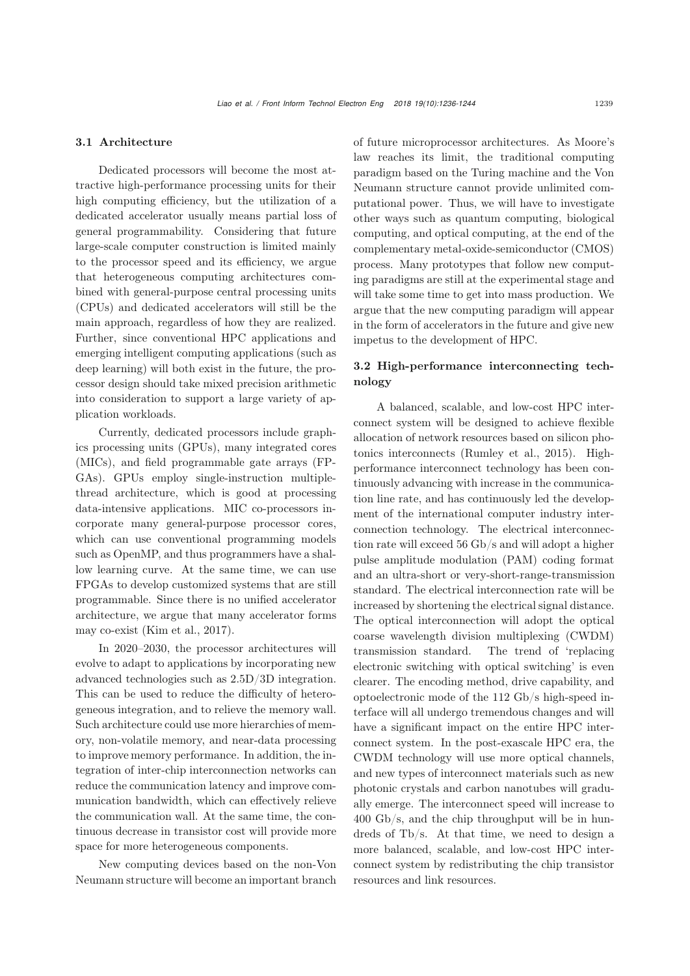#### 3.1 Architecture

Dedicated processors will become the most attractive high-performance processing units for their high computing efficiency, but the utilization of a dedicated accelerator usually means partial loss of general programmability. Considering that future large-scale computer construction is limited mainly to the processor speed and its efficiency, we argue that heterogeneous computing architectures combined with general-purpose central processing units (CPUs) and dedicated accelerators will still be the main approach, regardless of how they are realized. Further, since conventional HPC applications and emerging intelligent computing applications (such as deep learning) will both exist in the future, the processor design should take mixed precision arithmetic into consideration to support a large variety of application workloads.

Currently, dedicated processors include graphics processing units (GPUs), many integrated cores (MICs), and field programmable gate arrays (FP-GAs). GPUs employ single-instruction multiplethread architecture, which is good at processing data-intensive applications. MIC co-processors incorporate many general-purpose processor cores, which can use conventional programming models such as OpenMP, and thus programmers have a shallow learning curve. At the same time, we can use FPGAs to develop customized systems that are still programmable. Since there is no unified accelerator architecture, we argue that many accelerator forms may co-exist [\(Kim et al.](#page-7-5), [2017\)](#page-7-5).

In 2020–2030, the processor architectures will evolve to adapt to applications by incorporating new advanced technologies such as 2.5D/3D integration. This can be used to reduce the difficulty of heterogeneous integration, and to relieve the memory wall. Such architecture could use more hierarchies of memory, non-volatile memory, and near-data processing to improve memory performance. In addition, the integration of inter-chip interconnection networks can reduce the communication latency and improve communication bandwidth, which can effectively relieve the communication wall. At the same time, the continuous decrease in transistor cost will provide more space for more heterogeneous components.

New computing devices based on the non-Von Neumann structure will become an important branch

of future microprocessor architectures. As Moore's law reaches its limit, the traditional computing paradigm based on the Turing machine and the Von Neumann structure cannot provide unlimited computational power. Thus, we will have to investigate other ways such as quantum computing, biological computing, and optical computing, at the end of the complementary metal-oxide-semiconductor (CMOS) process. Many prototypes that follow new computing paradigms are still at the experimental stage and will take some time to get into mass production. We argue that the new computing paradigm will appear in the form of accelerators in the future and give new impetus to the development of HPC.

# 3.2 High-performance interconnecting technology

A balanced, scalable, and low-cost HPC interconnect system will be designed to achieve flexible allocation of network resources based on silicon photonics interconnects [\(Rumley et al.](#page-7-6), [2015](#page-7-6)). Highperformance interconnect technology has been continuously advancing with increase in the communication line rate, and has continuously led the development of the international computer industry interconnection technology. The electrical interconnection rate will exceed 56 Gb/s and will adopt a higher pulse amplitude modulation (PAM) coding format and an ultra-short or very-short-range-transmission standard. The electrical interconnection rate will be increased by shortening the electrical signal distance. The optical interconnection will adopt the optical coarse wavelength division multiplexing (CWDM) transmission standard. The trend of 'replacing electronic switching with optical switching' is even clearer. The encoding method, drive capability, and optoelectronic mode of the 112 Gb/s high-speed interface will all undergo tremendous changes and will have a significant impact on the entire HPC interconnect system. In the post-exascale HPC era, the CWDM technology will use more optical channels, and new types of interconnect materials such as new photonic crystals and carbon nanotubes will gradually emerge. The interconnect speed will increase to 400 Gb/s, and the chip throughput will be in hundreds of Tb/s. At that time, we need to design a more balanced, scalable, and low-cost HPC interconnect system by redistributing the chip transistor resources and link resources.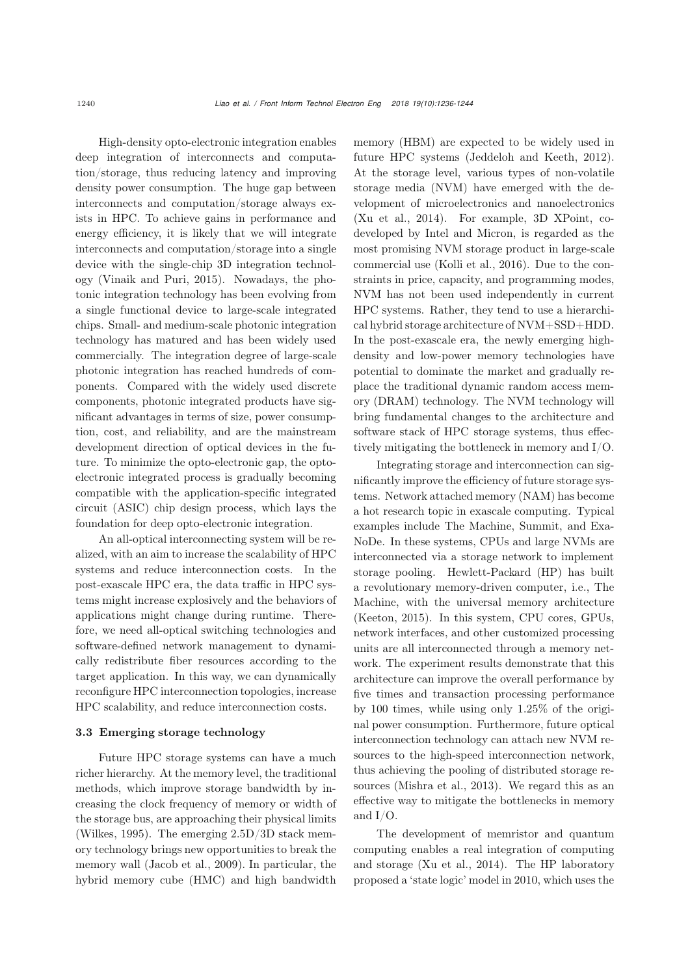High-density opto-electronic integration enables deep integration of interconnects and computation/storage, thus reducing latency and improving density power consumption. The huge gap between interconnects and computation/storage always exists in HPC. To achieve gains in performance and energy efficiency, it is likely that we will integrate interconnects and computation/storage into a single device with the single-chip 3D integration technology [\(Vinaik and Puri, 2015\)](#page-7-7). Nowadays, the photonic integration technology has been evolving from a single functional device to large-scale integrated chips. Small- and medium-scale photonic integration technology has matured and has been widely used commercially. The integration degree of large-scale photonic integration has reached hundreds of components. Compared with the widely used discrete components, photonic integrated products have significant advantages in terms of size, power consumption, cost, and reliability, and are the mainstream development direction of optical devices in the future. To minimize the opto-electronic gap, the optoelectronic integrated process is gradually becoming compatible with the application-specific integrated circuit (ASIC) chip design process, which lays the foundation for deep opto-electronic integration.

An all-optical interconnecting system will be realized, with an aim to increase the scalability of HPC systems and reduce interconnection costs. In the post-exascale HPC era, the data traffic in HPC systems might increase explosively and the behaviors of applications might change during runtime. Therefore, we need all-optical switching technologies and software-defined network management to dynamically redistribute fiber resources according to the target application. In this way, we can dynamically reconfigure HPC interconnection topologies, increase HPC scalability, and reduce interconnection costs.

## 3.3 Emerging storage technology

Future HPC storage systems can have a much richer hierarchy. At the memory level, the traditional methods, which improve storage bandwidth by increasing the clock frequency of memory or width of the storage bus, are approaching their physical limits [\(Wilkes](#page-7-8), [1995](#page-7-8)). The emerging 2.5D/3D stack memory technology brings new opportunities to break the memory wall [\(Jacob et al.](#page-7-9), [2009](#page-7-9)). In particular, the hybrid memory cube (HMC) and high bandwidth

memory (HBM) are expected to be widely used in future HPC systems [\(Jeddeloh and Keeth, 2012\)](#page-7-10). At the storage level, various types of non-volatile storage media (NVM) have emerged with the development of microelectronics and nanoelectronics [\(Xu et al.](#page-8-2), [2014](#page-8-2)). For example, 3D XPoint, codeveloped by Intel and Micron, is regarded as the most promising NVM storage product in large-scale commercial use [\(Kolli et al., 2016\)](#page-7-11). Due to the constraints in price, capacity, and programming modes, NVM has not been used independently in current HPC systems. Rather, they tend to use a hierarchical hybrid storage architecture of NVM+SSD+HDD. In the post-exascale era, the newly emerging highdensity and low-power memory technologies have potential to dominate the market and gradually replace the traditional dynamic random access memory (DRAM) technology. The NVM technology will bring fundamental changes to the architecture and software stack of HPC storage systems, thus effectively mitigating the bottleneck in memory and I/O.

Integrating storage and interconnection can significantly improve the efficiency of future storage systems. Network attached memory (NAM) has become a hot research topic in exascale computing. Typical examples include The Machine, Summit, and Exa-NoDe. In these systems, CPUs and large NVMs are interconnected via a storage network to implement storage pooling. Hewlett-Packard (HP) has built a revolutionary memory-driven computer, i.e., The Machine, with the universal memory architecture [\(Keeton](#page-7-12), [2015\)](#page-7-12). In this system, CPU cores, GPUs, network interfaces, and other customized processing units are all interconnected through a memory network. The experiment results demonstrate that this architecture can improve the overall performance by five times and transaction processing performance by 100 times, while using only 1.25% of the original power consumption. Furthermore, future optical interconnection technology can attach new NVM resources to the high-speed interconnection network, thus achieving the pooling of distributed storage resources [\(Mishra et al.](#page-7-13), [2013](#page-7-13)). We regard this as an effective way to mitigate the bottlenecks in memory and I/O.

The development of memristor and quantum computing enables a real integration of computing and storage [\(Xu et al.](#page-8-2), [2014](#page-8-2)). The HP laboratory proposed a 'state logic' model in 2010, which uses the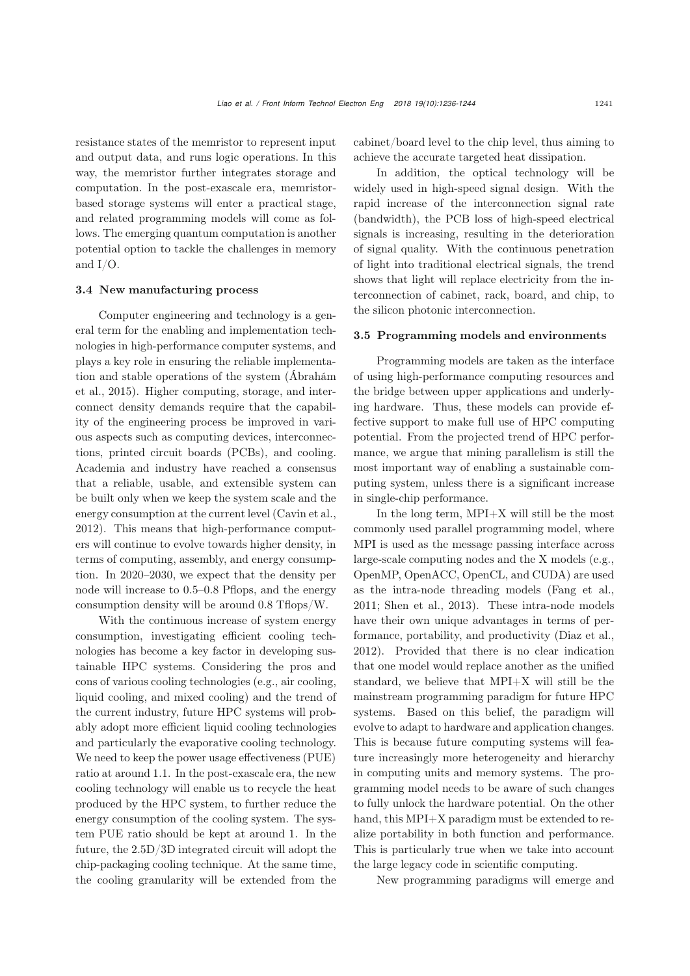resistance states of the memristor to represent input and output data, and runs logic operations. In this way, the memristor further integrates storage and computation. In the post-exascale era, memristorbased storage systems will enter a practical stage, and related programming models will come as follows. The emerging quantum computation is another potential option to tackle the challenges in memory and I/O.

## 3.4 New manufacturing process

Computer engineering and technology is a general term for the enabling and implementation technologies in high-performance computer systems, and plays a key role in ensuring the reliable implementation [and](#page-7-14) [stable](#page-7-14) [operations](#page-7-14) [of](#page-7-14) [the](#page-7-14) [system](#page-7-14) [\(](#page-7-14)Ábrahám et al., [2015\)](#page-7-14). Higher computing, storage, and interconnect density demands require that the capability of the engineering process be improved in various aspects such as computing devices, interconnections, printed circuit boards (PCBs), and cooling. Academia and industry have reached a consensus that a reliable, usable, and extensible system can be built only when we keep the system scale and the energy consumption at the current level [\(Cavin et al.](#page-7-15), [2012](#page-7-15)). This means that high-performance computers will continue to evolve towards higher density, in terms of computing, assembly, and energy consumption. In 2020–2030, we expect that the density per node will increase to 0.5–0.8 Pflops, and the energy consumption density will be around 0.8 Tflops/W.

With the continuous increase of system energy consumption, investigating efficient cooling technologies has become a key factor in developing sustainable HPC systems. Considering the pros and cons of various cooling technologies (e.g., air cooling, liquid cooling, and mixed cooling) and the trend of the current industry, future HPC systems will probably adopt more efficient liquid cooling technologies and particularly the evaporative cooling technology. We need to keep the power usage effectiveness (PUE) ratio at around 1.1. In the post-exascale era, the new cooling technology will enable us to recycle the heat produced by the HPC system, to further reduce the energy consumption of the cooling system. The system PUE ratio should be kept at around 1. In the future, the 2.5D/3D integrated circuit will adopt the chip-packaging cooling technique. At the same time, the cooling granularity will be extended from the cabinet/board level to the chip level, thus aiming to achieve the accurate targeted heat dissipation.

In addition, the optical technology will be widely used in high-speed signal design. With the rapid increase of the interconnection signal rate (bandwidth), the PCB loss of high-speed electrical signals is increasing, resulting in the deterioration of signal quality. With the continuous penetration of light into traditional electrical signals, the trend shows that light will replace electricity from the interconnection of cabinet, rack, board, and chip, to the silicon photonic interconnection.

## 3.5 Programming models and environments

Programming models are taken as the interface of using high-performance computing resources and the bridge between upper applications and underlying hardware. Thus, these models can provide effective support to make full use of HPC computing potential. From the projected trend of HPC performance, we argue that mining parallelism is still the most important way of enabling a sustainable computing system, unless there is a significant increase in single-chip performance.

In the long term, MPI+X will still be the most commonly used parallel programming model, where MPI is used as the message passing interface across large-scale computing nodes and the X models (e.g., OpenMP, OpenACC, OpenCL, and CUDA) are used as the intra-node threading models [\(Fang et al.](#page-7-16), [2011](#page-7-16); [Shen et al.](#page-7-17), [2013](#page-7-17)). These intra-node models have their own unique advantages in terms of performance, portability, and productivity [\(Diaz et al.](#page-7-18), [2012](#page-7-18)). Provided that there is no clear indication that one model would replace another as the unified standard, we believe that MPI+X will still be the mainstream programming paradigm for future HPC systems. Based on this belief, the paradigm will evolve to adapt to hardware and application changes. This is because future computing systems will feature increasingly more heterogeneity and hierarchy in computing units and memory systems. The programming model needs to be aware of such changes to fully unlock the hardware potential. On the other hand, this MPI+X paradigm must be extended to realize portability in both function and performance. This is particularly true when we take into account the large legacy code in scientific computing.

New programming paradigms will emerge and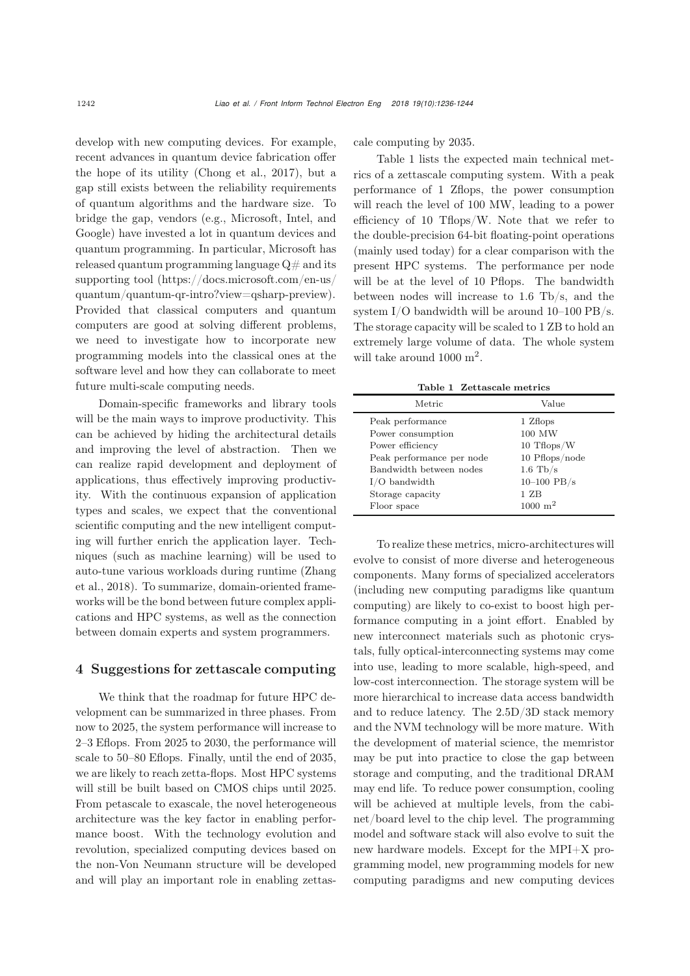develop with new computing devices. For example, recent advances in quantum device fabrication offer the hope of its utility [\(Chong et al.](#page-7-4), [2017\)](#page-7-4), but a gap still exists between the reliability requirements of quantum algorithms and the hardware size. To bridge the gap, vendors (e.g., Microsoft, Intel, and Google) have invested a lot in quantum devices and quantum programming. In particular, Microsoft has released quantum programming language  $Q\#$  and its supporting tool (https://docs.microsoft.com/en-us/ quantum/quantum-qr-intro?view=qsharp-preview). Provided that classical computers and quantum computers are good at solving different problems, we need to investigate how to incorporate new programming models into the classical ones at the software level and how they can collaborate to meet future multi-scale computing needs.

Domain-specific frameworks and library tools will be the main ways to improve productivity. This can be achieved by hiding the architectural details and improving the level of abstraction. Then we can realize rapid development and deployment of applications, thus effectively improving productivity. With the continuous expansion of application types and scales, we expect that the conventional scientific computing and the new intelligent computing will further enrich the application layer. Techniques (such as machine learning) will be used to auto[-tune](#page-8-3) [various](#page-8-3) [workloads](#page-8-3) [during](#page-8-3) [runtime](#page-8-3) [\(](#page-8-3)Zhang et al., [2018](#page-8-3)). To summarize, domain-oriented frameworks will be the bond between future complex applications and HPC systems, as well as the connection between domain experts and system programmers.

## 4 Suggestions for zettascale computing

We think that the roadmap for future HPC development can be summarized in three phases. From now to 2025, the system performance will increase to 2–3 Eflops. From 2025 to 2030, the performance will scale to 50–80 Eflops. Finally, until the end of 2035, we are likely to reach zetta-flops. Most HPC systems will still be built based on CMOS chips until 2025. From petascale to exascale, the novel heterogeneous architecture was the key factor in enabling performance boost. With the technology evolution and revolution, specialized computing devices based on the non-Von Neumann structure will be developed and will play an important role in enabling zettascale computing by 2035.

Table [1](#page-6-0) lists the expected main technical metrics of a zettascale computing system. With a peak performance of 1 Zflops, the power consumption will reach the level of 100 MW, leading to a power efficiency of 10 Tflops/W. Note that we refer to the double-precision 64-bit floating-point operations (mainly used today) for a clear comparison with the present HPC systems. The performance per node will be at the level of 10 Pflops. The bandwidth between nodes will increase to 1.6 Tb/s, and the system I/O bandwidth will be around 10–100 PB/s. The storage capacity will be scaled to 1 ZB to hold an extremely large volume of data. The whole system will take around  $1000 \text{ m}^2$ .

<span id="page-6-0"></span>Table 1 Zettascale metrics

| Metric                                                                                                                                                   | Value                                                                                               |
|----------------------------------------------------------------------------------------------------------------------------------------------------------|-----------------------------------------------------------------------------------------------------|
| Peak performance<br>Power consumption<br>Power efficiency<br>Peak performance per node<br>Bandwidth between nodes<br>$I/O$ bandwidth<br>Storage capacity | 1 Zflops<br>100 MW<br>$10 \text{ Tflops/W}$<br>10 Pflops/node<br>$1.6$ Tb/s<br>$10-100$ PB/s<br>1ZB |
| Floor space                                                                                                                                              | $1000 \text{ m}^2$                                                                                  |

To realize these metrics, micro-architectures will evolve to consist of more diverse and heterogeneous components. Many forms of specialized accelerators (including new computing paradigms like quantum computing) are likely to co-exist to boost high performance computing in a joint effort. Enabled by new interconnect materials such as photonic crystals, fully optical-interconnecting systems may come into use, leading to more scalable, high-speed, and low-cost interconnection. The storage system will be more hierarchical to increase data access bandwidth and to reduce latency. The 2.5D/3D stack memory and the NVM technology will be more mature. With the development of material science, the memristor may be put into practice to close the gap between storage and computing, and the traditional DRAM may end life. To reduce power consumption, cooling will be achieved at multiple levels, from the cabinet/board level to the chip level. The programming model and software stack will also evolve to suit the new hardware models. Except for the MPI+X programming model, new programming models for new computing paradigms and new computing devices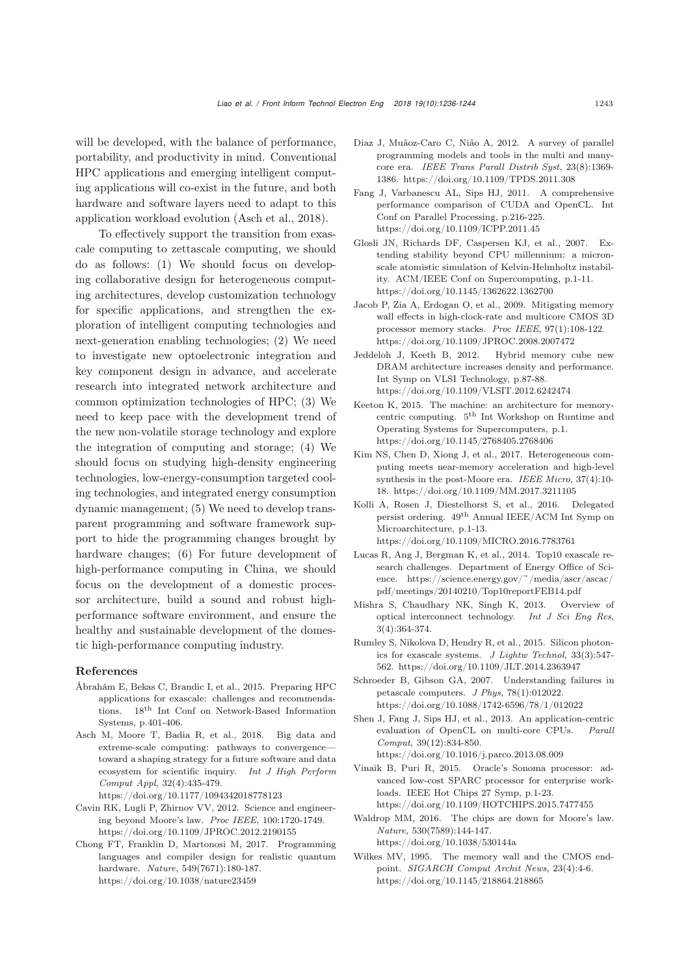will be developed, with the balance of performance, portability, and productivity in mind. Conventional HPC applications and emerging intelligent computing applications will co-exist in the future, and both hardware and software layers need to adapt to this application workload evolution [\(Asch et al.](#page-7-19), [2018](#page-7-19)).

To effectively support the transition from exascale computing to zettascale computing, we should do as follows: (1) We should focus on developing collaborative design for heterogeneous computing architectures, develop customization technology for specific applications, and strengthen the exploration of intelligent computing technologies and next-generation enabling technologies; (2) We need to investigate new optoelectronic integration and key component design in advance, and accelerate research into integrated network architecture and common optimization technologies of HPC; (3) We need to keep pace with the development trend of the new non-volatile storage technology and explore the integration of computing and storage; (4) We should focus on studying high-density engineering technologies, low-energy-consumption targeted cooling technologies, and integrated energy consumption dynamic management; (5) We need to develop transparent programming and software framework support to hide the programming changes brought by hardware changes; (6) For future development of high-performance computing in China, we should focus on the development of a domestic processor architecture, build a sound and robust highperformance software environment, and ensure the healthy and sustainable development of the domestic high-performance computing industry.

#### References

- <span id="page-7-14"></span>Ábrahám E, Bekas C, Brandic I, et al., 2015. Preparing HPC applications for exascale: challenges and recommendations. 18th Int Conf on Network-Based Information Systems, p.401-406.
- <span id="page-7-19"></span>Asch M, Moore T, Badia R, et al., 2018. Big data and extreme-scale computing: pathways to convergence toward a shaping strategy for a future software and data ecosystem for scientific inquiry. *Int J High Perform Comput Appl*, 32(4):435-479.
- https://doi.org/10.1177/1094342018778123
- <span id="page-7-15"></span>Cavin RK, Lugli P, Zhirnov VV, 2012. Science and engineering beyond Moore's law. *Proc IEEE*, 100:1720-1749. https://doi.org/10.1109/JPROC.2012.2190155
- <span id="page-7-4"></span>Chong FT, Franklin D, Martonosi M, 2017. Programming languages and compiler design for realistic quantum hardware. *Nature*, 549(7671):180-187. https://doi.org/10.1038/nature23459
- <span id="page-7-18"></span>Diaz J, Muãoz-Caro C, Nião A, 2012. A survey of parallel programming models and tools in the multi and manycore era. *IEEE Trans Parall Distrib Syst*, 23(8):1369- 1386. https://doi.org/10.1109/TPDS.2011.308
- <span id="page-7-16"></span>Fang J, Varbanescu AL, Sips HJ, 2011. A comprehensive performance comparison of CUDA and OpenCL. Int Conf on Parallel Processing, p.216-225. https://doi.org/10.1109/ICPP.2011.45
- <span id="page-7-2"></span>Glosli JN, Richards DF, Caspersen KJ, et al., 2007. Extending stability beyond CPU millennium: a micronscale atomistic simulation of Kelvin-Helmholtz instability. ACM/IEEE Conf on Supercomputing, p.1-11. https://doi.org/10.1145/1362622.1362700
- <span id="page-7-9"></span>Jacob P, Zia A, Erdogan O, et al., 2009. Mitigating memory wall effects in high-clock-rate and multicore CMOS 3D processor memory stacks. *Proc IEEE*, 97(1):108-122. https://doi.org/10.1109/JPROC.2008.2007472
- <span id="page-7-10"></span>Jeddeloh J, Keeth B, 2012. Hybrid memory cube new DRAM architecture increases density and performance. Int Symp on VLSI Technology, p.87-88. https://doi.org/10.1109/VLSIT.2012.6242474
- <span id="page-7-12"></span>Keeton K, 2015. The machine: an architecture for memorycentric computing. 5th Int Workshop on Runtime and Operating Systems for Supercomputers, p.1. https://doi.org/10.1145/2768405.2768406
- <span id="page-7-5"></span>Kim NS, Chen D, Xiong J, et al., 2017. Heterogeneous computing meets near-memory acceleration and high-level synthesis in the post-Moore era. *IEEE Micro*, 37(4):10- 18. https://doi.org/10.1109/MM.2017.3211105
- <span id="page-7-11"></span>Kolli A, Rosen J, Diestelhorst S, et al., 2016. Delegated persist ordering. 49th Annual IEEE/ACM Int Symp on Microarchitecture, p.1-13. https://doi.org/10.1109/MICRO.2016.7783761
- <span id="page-7-1"></span>Lucas R, Ang J, Bergman K, et al., 2014. Top10 exascale research challenges. Department of Energy Office of Science. https://science.energy.gov/~/media/ascr/ascac/ pdf/meetings/20140210/Top10reportFEB14.pdf
- <span id="page-7-13"></span>Mishra S, Chaudhary NK, Singh K, 2013. Overview of optical interconnect technology. *Int J Sci Eng Res*, 3(4):364-374.
- <span id="page-7-6"></span>Rumley S, Nikolova D, Hendry R, et al., 2015. Silicon photonics for exascale systems. *J Lightw Technol*, 33(3):547- 562. https://doi.org/10.1109/JLT.2014.2363947
- <span id="page-7-3"></span>Schroeder B, Gibson GA, 2007. Understanding failures in petascale computers. *J Phys*, 78(1):012022. https://doi.org/10.1088/1742-6596/78/1/012022
- <span id="page-7-17"></span>Shen J, Fang J, Sips HJ, et al., 2013. An application-centric evaluation of OpenCL on multi-core CPUs. *Parall Comput*, 39(12):834-850. https://doi.org/10.1016/j.parco.2013.08.009
- <span id="page-7-7"></span>Vinaik B, Puri R, 2015. Oracle's Sonoma processor: advanced low-cost SPARC processor for enterprise workloads. IEEE Hot Chips 27 Symp, p.1-23. https://doi.org/10.1109/HOTCHIPS.2015.7477455
- <span id="page-7-0"></span>Waldrop MM, 2016. The chips are down for Moore's law. *Nature*, 530(7589):144-147. https://doi.org/10.1038/530144a
- <span id="page-7-8"></span>Wilkes MV, 1995. The memory wall and the CMOS endpoint. *SIGARCH Comput Archit News*, 23(4):4-6. https://doi.org/10.1145/218864.218865